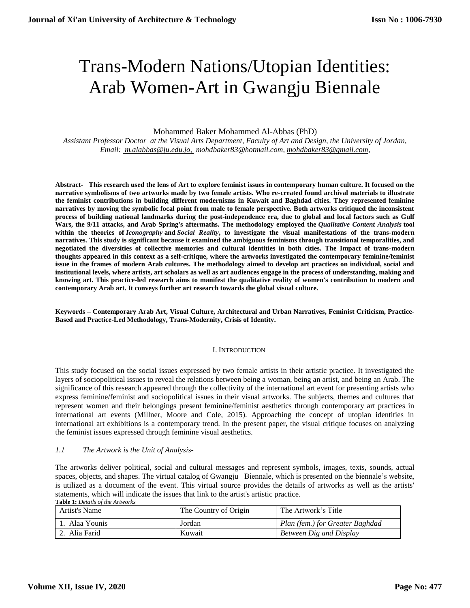# Trans-Modern Nations/Utopian Identities: Arab Women-Art in Gwangju Biennale

Mohammed Baker Mohammed Al-Abbas (PhD)

*Assistant Professor Doctor at the Visual Arts Department, Faculty of Art and Design, the University of Jordan, Email: [m.alabbas@ju.edu.jo,](mailto:%20m.alabbas@ju.edu.jo,) [mohdbaker83@hotmail.com,](mailto:mohdbaker83@hotmail.com) [mohdbaker83@gmail.com,](mailto:mohdbaker83@gmail.com)*

**Abstract- This research used the lens of Art to explore feminist issues in contemporary human culture. It focused on the narrative symbolisms of two artworks made by two female artists. Who re-created found archival materials to illustrate the feminist contributions in building different modernisms in Kuwait and Baghdad cities. They represented feminine narratives by moving the symbolic focal point from male to female perspective. Both artworks critiqued the inconsistent process of building national landmarks during the post-independence era, due to global and local factors such as Gulf Wars, the 9/11 attacks, and Arab Spring's aftermaths. The methodology employed the** *Qualitative Content Analysis* **tool within the theories of** *Iconography* **and** *Social Reality***, to investigate the visual manifestations of the trans-modern narratives. This study is significant because it examined the ambiguous feminisms through transitional temporalities, and negotiated the diversities of collective memories and cultural identities in both cities. The Impact of trans-modern thoughts appeared in this context as a self-critique, where the artworks investigated the contemporary feminine/feminist issue in the frames of modern Arab cultures. The methodology aimed to develop art practices on individual, social and institutional levels, where artists, art scholars as well as art audiences engage in the process of understanding, making and knowing art. This practice-led research aims to manifest the qualitative reality of women's contribution to modern and contemporary Arab art. It conveys further art research towards the global visual culture.**

**Keywords – Contemporary Arab Art, Visual Culture, Architectural and Urban Narratives, Feminist Criticism, Practice-Based and Practice-Led Methodology, Trans-Modernity, Crisis of Identity.** 

#### I. INTRODUCTION

This study focused on the social issues expressed by two female artists in their artistic practice. It investigated the layers of sociopolitical issues to reveal the relations between being a woman, being an artist, and being an Arab. The significance of this research appeared through the collectivity of the international art event for presenting artists who express feminine/feminist and sociopolitical issues in their visual artworks. The subjects, themes and cultures that represent women and their belongings present feminine/feminist aesthetics through contemporary art practices in international art events (Millner, Moore and Cole, 2015). Approaching the concept of utopian identities in international art exhibitions is a contemporary trend. In the present paper, the visual critique focuses on analyzing the feminist issues expressed through feminine visual aesthetics.

# *1.1 The Artwork is the Unit of Analysis-*

The artworks deliver political, social and cultural messages and represent symbols, images, texts, sounds, actual spaces, objects, and shapes. The virtual catalog of Gwangju Biennale, which is presented on the biennale's website, is utilized as a document of the event. This virtual source provides the details of artworks as well as the artists' statements, which will indicate the issues that link to the artist's artistic practice. **Table 1:** *Details of the Artworks*

| Artist's Name | The Country of Origin | The Artwork's Title             |
|---------------|-----------------------|---------------------------------|
| Alaa Younis   | Jordan                | Plan (fem.) for Greater Baghdad |
| 2. Alia Farid | Kuwait                | <b>Between Dig and Display</b>  |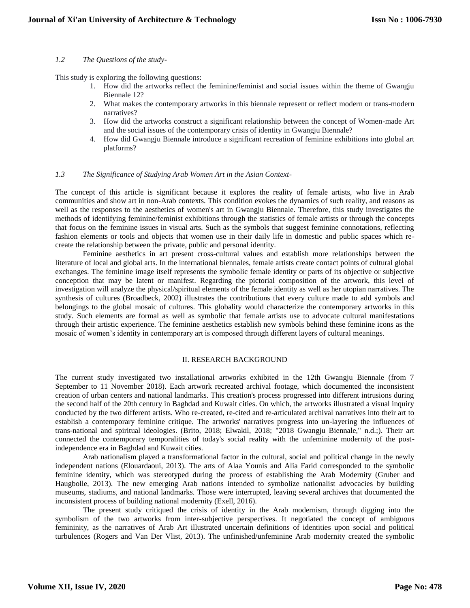### *1.2 The Questions of the study-*

This study is exploring the following questions:

- 1. How did the artworks reflect the feminine/feminist and social issues within the theme of Gwangju Biennale 12?
- 2. What makes the contemporary artworks in this biennale represent or reflect modern or trans-modern narratives?
- 3. How did the artworks construct a significant relationship between the concept of Women-made Art and the social issues of the contemporary crisis of identity in Gwangju Biennale?
- 4. How did Gwangju Biennale introduce a significant recreation of feminine exhibitions into global art platforms?

#### *1.3 The Significance of Studying Arab Women Art in the Asian Context-*

The concept of this article is significant because it explores the reality of female artists, who live in Arab communities and show art in non-Arab contexts. This condition evokes the dynamics of such reality, and reasons as well as the responses to the aesthetics of women's art in Gwangju Biennale. Therefore, this study investigates the methods of identifying feminine/feminist exhibitions through the statistics of female artists or through the concepts that focus on the feminine issues in visual arts. Such as the symbols that suggest feminine connotations, reflecting fashion elements or tools and objects that women use in their daily life in domestic and public spaces which recreate the relationship between the private, public and personal identity.

Feminine aesthetics in art present cross-cultural values and establish more relationships between the literature of local and global arts. In the international biennales, female artists create contact points of cultural global exchanges. The feminine image itself represents the symbolic female identity or parts of its objective or subjective conception that may be latent or manifest. Regarding the pictorial composition of the artwork, this level of investigation will analyze the physical/spiritual elements of the female identity as well as her utopian narratives. The synthesis of cultures (Broadbeck, 2002) illustrates the contributions that every culture made to add symbols and belongings to the global mosaic of cultures. This globality would characterize the contemporary artworks in this study. Such elements are formal as well as symbolic that female artists use to advocate cultural manifestations through their artistic experience. The feminine aesthetics establish new symbols behind these feminine icons as the mosaic of women's identity in contemporary art is composed through different layers of cultural meanings.

#### II. RESEARCH BACKGROUND

The current study investigated two installational artworks exhibited in the 12th Gwangju Biennale (from 7 September to 11 November 2018). Each artwork recreated archival footage, which documented the inconsistent creation of urban centers and national landmarks. This creation's process progressed into different intrusions during the second half of the 20th century in Baghdad and Kuwait cities. On which, the artworks illustrated a visual inquiry conducted by the two different artists. Who re-created, re-cited and re-articulated archival narratives into their art to establish a contemporary feminine critique. The artworks' narratives progress into un-layering the influences of trans-national and spiritual ideologies. (Brito, 2018; Elwakil, 2018; "2018 Gwangju Biennale," n.d.;). Their art connected the contemporary temporalities of today's social reality with the unfeminine modernity of the postindependence era in Baghdad and Kuwait cities.

Arab nationalism played a transformational factor in the cultural, social and political change in the newly independent nations (Elouardaoui, 2013). The arts of Alaa Younis and Alia Farid corresponded to the symbolic feminine identity, which was stereotyped during the process of establishing the Arab Modernity (Gruber and Haugbolle, 2013). The new emerging Arab nations intended to symbolize nationalist advocacies by building museums, stadiums, and national landmarks. Those were interrupted, leaving several archives that documented the inconsistent process of building national modernity (Exell, 2016).

The present study critiqued the crisis of identity in the Arab modernism, through digging into the symbolism of the two artworks from inter-subjective perspectives. It negotiated the concept of ambiguous femininity, as the narratives of Arab Art illustrated uncertain definitions of identities upon social and political turbulences (Rogers and Van Der Vlist, 2013). The unfinished/unfeminine Arab modernity created the symbolic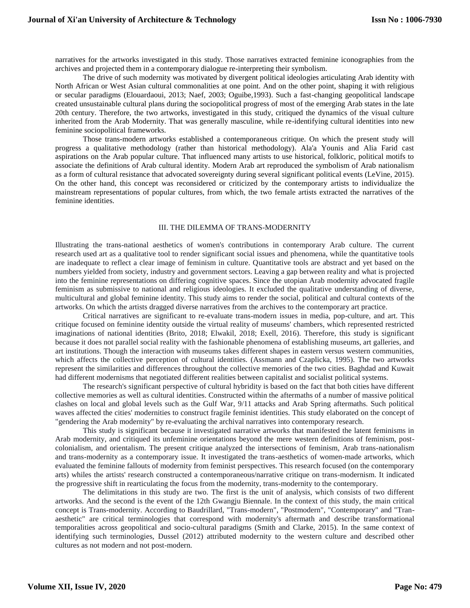narratives for the artworks investigated in this study. Those narratives extracted feminine iconographies from the archives and projected them in a contemporary dialogue re-interpreting their symbolism.

The drive of such modernity was motivated by divergent political ideologies articulating Arab identity with North African or West Asian cultural commonalities at one point. And on the other point, shaping it with religious or secular paradigms (Elouardaoui, 2013; Naef, 2003; Oguibe,1993). Such a fast-changing geopolitical landscape created unsustainable cultural plans during the sociopolitical progress of most of the emerging Arab states in the late 20th century. Therefore, the two artworks, investigated in this study, critiqued the dynamics of the visual culture inherited from the Arab Modernity. That was generally masculine, while re-identifying cultural identities into new feminine sociopolitical frameworks.

Those trans-modern artworks established a contemporaneous critique. On which the present study will progress a qualitative methodology (rather than historical methodology). Ala'a Younis and Alia Farid cast aspirations on the Arab popular culture. That influenced many artists to use historical, folkloric, political motifs to associate the definitions of Arab cultural identity. Modern Arab art reproduced the symbolism of Arab nationalism as a form of cultural resistance that advocated sovereignty during several significant political events (LeVine, 2015). On the other hand, this concept was reconsidered or criticized by the contemporary artists to individualize the mainstream representations of popular cultures, from which, the two female artists extracted the narratives of the feminine identities.

### III. THE DILEMMA OF TRANS-MODERNITY

Illustrating the trans-national aesthetics of women's contributions in contemporary Arab culture. The current research used art as a qualitative tool to render significant social issues and phenomena, while the quantitative tools are inadequate to reflect a clear image of feminism in culture. Quantitative tools are abstract and yet based on the numbers yielded from society, industry and government sectors. Leaving a gap between reality and what is projected into the feminine representations on differing cognitive spaces. Since the utopian Arab modernity advocated fragile feminism as submissive to national and religious ideologies. It excluded the qualitative understanding of diverse, multicultural and global feminine identity. This study aims to render the social, political and cultural contexts of the artworks. On which the artists dragged diverse narratives from the archives to the contemporary art practice.

Critical narratives are significant to re-evaluate trans-modern issues in media, pop-culture, and art. This critique focused on feminine identity outside the virtual reality of museums' chambers, which represented restricted imaginations of national identities (Brito, 2018; Elwakil, 2018; Exell, 2016). Therefore, this study is significant because it does not parallel social reality with the fashionable phenomena of establishing museums, art galleries, and art institutions. Though the interaction with museums takes different shapes in eastern versus western communities, which affects the collective perception of cultural identities. (Assmann and Czaplicka, 1995). The two artworks represent the similarities and differences throughout the collective memories of the two cities. Baghdad and Kuwait had different modernisms that negotiated different realities between capitalist and socialist political systems.

The research's significant perspective of cultural hybridity is based on the fact that both cities have different collective memories as well as cultural identities. Constructed within the aftermaths of a number of massive political clashes on local and global levels such as the Gulf War, 9/11 attacks and Arab Spring aftermaths. Such political waves affected the cities' modernities to construct fragile feminist identities. This study elaborated on the concept of "gendering the Arab modernity" by re-evaluating the archival narratives into contemporary research.

This study is significant because it investigated narrative artworks that manifested the latent feminisms in Arab modernity, and critiqued its unfeminine orientations beyond the mere western definitions of feminism, postcolonialism, and orientalism. The present critique analyzed the intersections of feminism, Arab trans-nationalism and trans-modernity as a contemporary issue. It investigated the trans-aesthetics of women-made artworks, which evaluated the feminine fallouts of modernity from feminist perspectives. This research focused (on the contemporary arts) whiles the artists' research constructed a contemporaneous/narrative critique on trans-modernism. It indicated the progressive shift in rearticulating the focus from the modernity, trans-modernity to the contemporary.

The delimitations in this study are two. The first is the unit of analysis, which consists of two different artworks. And the second is the event of the 12th Gwangju Biennale. In the context of this study, the main critical concept is Trans-modernity. According to Baudrillard, "Trans-modern", "Postmodern", "Contemporary" and "Tranaesthetic" are critical terminologies that correspond with modernity's aftermath and describe transformational temporalities across geopolitical and socio-cultural paradigms (Smith and Clarke, 2015). In the same context of identifying such terminologies, Dussel (2012) attributed modernity to the western culture and described other cultures as not modern and not post-modern.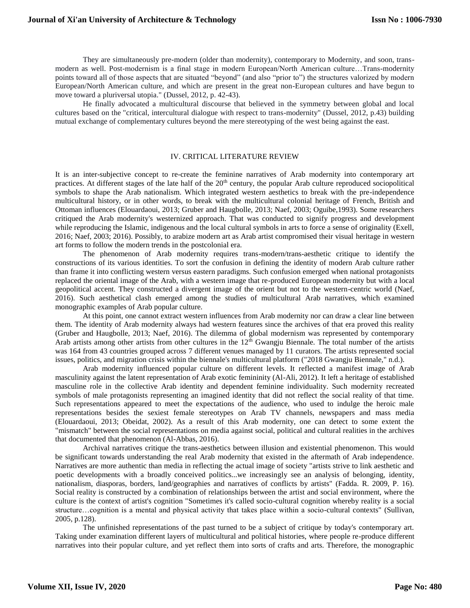They are simultaneously pre-modern (older than modernity), contemporary to Modernity, and soon, transmodern as well. Post-modernism is a final stage in modern European/North American culture…Trans-modernity points toward all of those aspects that are situated "beyond" (and also "prior to") the structures valorized by modern European/North American culture, and which are present in the great non-European cultures and have begun to move toward a pluriversal utopia." (Dussel, 2012, p. 42-43).

He finally advocated a multicultural discourse that believed in the symmetry between global and local cultures based on the "critical, intercultural dialogue with respect to trans-modernity" (Dussel, 2012, p.43) building mutual exchange of complementary cultures beyond the mere stereotyping of the west being against the east.

## IV. CRITICAL LITERATURE REVIEW

It is an inter-subjective concept to re-create the feminine narratives of Arab modernity into contemporary art practices. At different stages of the late half of the 20<sup>th</sup> century, the popular Arab culture reproduced sociopolitical symbols to shape the Arab nationalism. Which integrated western aesthetics to break with the pre-independence multicultural history, or in other words, to break with the multicultural colonial heritage of French, British and Ottoman influences (Elouardaoui, 2013; Gruber and Haugbolle, 2013; Naef, 2003; Oguibe,1993). Some researchers critiqued the Arab modernity's westernized approach. That was conducted to signify progress and development while reproducing the Islamic, indigenous and the local cultural symbols in arts to force a sense of originality (Exell, 2016; Naef, 2003; 2016). Possibly, to arabize modern art as Arab artist compromised their visual heritage in western art forms to follow the modern trends in the postcolonial era.

The phenomenon of Arab modernity requires trans-modern/trans-aesthetic critique to identify the constructions of its various identities. To sort the confusion in defining the identity of modern Arab culture rather than frame it into conflicting western versus eastern paradigms. Such confusion emerged when national protagonists replaced the oriental image of the Arab, with a western image that re-produced European modernity but with a local geopolitical accent. They constructed a divergent image of the orient but not to the western-centric world (Naef, 2016). Such aesthetical clash emerged among the studies of multicultural Arab narratives, which examined monographic examples of Arab popular culture.

At this point, one cannot extract western influences from Arab modernity nor can draw a clear line between them. The identity of Arab modernity always had western features since the archives of that era proved this reality (Gruber and Haugbolle, 2013; Naef, 2016). The dilemma of global modernism was represented by contemporary Arab artists among other artists from other cultures in the  $12<sup>th</sup>$  Gwangju Biennale. The total number of the artists was 164 from 43 countries grouped across 7 different venues managed by 11 curators. The artists represented social issues, politics, and migration crisis within the biennale's multicultural platform ("2018 Gwangju Biennale," n.d.).

Arab modernity influenced popular culture on different levels. It reflected a manifest image of Arab masculinity against the latent representation of Arab exotic femininity (Al-Ali, 2012). It left a heritage of established masculine role in the collective Arab identity and dependent feminine individuality. Such modernity recreated symbols of male protagonists representing an imagined identity that did not reflect the social reality of that time. Such representations appeared to meet the expectations of the audience, who used to indulge the heroic male representations besides the sexiest female stereotypes on Arab TV channels, newspapers and mass media (Elouardaoui, 2013; Obeidat, 2002). As a result of this Arab modernity, one can detect to some extent the "mismatch" between the social representations on media against social, political and cultural realities in the archives that documented that phenomenon (Al-Abbas, 2016).

Archival narratives critique the trans-aesthetics between illusion and existential phenomenon. This would be significant towards understanding the real Arab modernity that existed in the aftermath of Arab independence. Narratives are more authentic than media in reflecting the actual image of society "artists strive to link aesthetic and poetic developments with a broadly conceived politics...we increasingly see an analysis of belonging, identity, nationalism, diasporas, borders, land/geographies and narratives of conflicts by artists" (Fadda. R. 2009, P. 16). Social reality is constructed by a combination of relationships between the artist and social environment, where the culture is the context of artist's cognition "Sometimes it's called socio-cultural cognition whereby reality is a social structure…cognition is a mental and physical activity that takes place within a socio-cultural contexts" (Sullivan, 2005, p.128).

The unfinished representations of the past turned to be a subject of critique by today's contemporary art. Taking under examination different layers of multicultural and political histories, where people re-produce different narratives into their popular culture, and yet reflect them into sorts of crafts and arts. Therefore, the monographic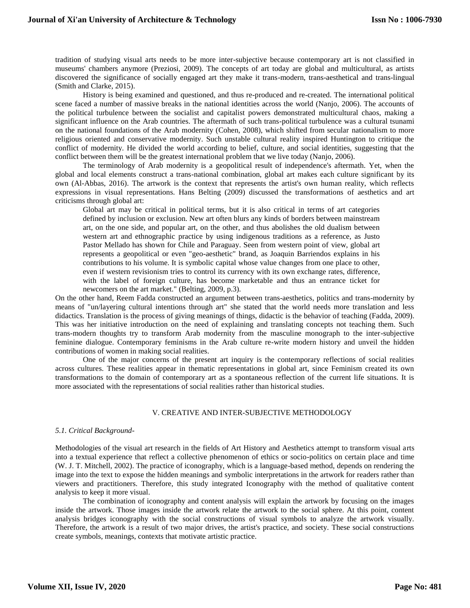tradition of studying visual arts needs to be more inter-subjective because contemporary art is not classified in museums' chambers anymore (Preziosi, 2009). The concepts of art today are global and multicultural, as artists discovered the significance of socially engaged art they make it trans-modern, trans-aesthetical and trans-lingual (Smith and Clarke, 2015).

History is being examined and questioned, and thus re-produced and re-created. The international political scene faced a number of massive breaks in the national identities across the world (Nanjo, 2006). The accounts of the political turbulence between the socialist and capitalist powers demonstrated multicultural chaos, making a significant influence on the Arab countries. The aftermath of such trans-political turbulence was a cultural tsunami on the national foundations of the Arab modernity (Cohen, 2008), which shifted from secular nationalism to more religious oriented and conservative modernity. Such unstable cultural reality inspired Huntington to critique the conflict of modernity. He divided the world according to belief, culture, and social identities, suggesting that the conflict between them will be the greatest international problem that we live today (Nanjo, 2006).

The terminology of Arab modernity is a geopolitical result of independence's aftermath. Yet, when the global and local elements construct a trans-national combination, global art makes each culture significant by its own (Al-Abbas, 2016). The artwork is the context that represents the artist's own human reality, which reflects expressions in visual representations. Hans Belting (2009) discussed the transformations of aesthetics and art criticisms through global art:

Global art may be critical in political terms, but it is also critical in terms of art categories defined by inclusion or exclusion. New art often blurs any kinds of borders between mainstream art, on the one side, and popular art, on the other, and thus abolishes the old dualism between western art and ethnographic practice by using indigenous traditions as a reference, as Justo Pastor Mellado has shown for Chile and Paraguay. Seen from western point of view, global art represents a geopolitical or even "geo-aesthetic" brand, as Joaquin Barriendos explains in his contributions to his volume. It is symbolic capital whose value changes from one place to other, even if western revisionism tries to control its currency with its own exchange rates, difference, with the label of foreign culture, has become marketable and thus an entrance ticket for newcomers on the art market." (Belting, 2009, p.3).

On the other hand, Reem Fadda constructed an argument between trans-aesthetics, politics and trans-modernity by means of "un/layering cultural intentions through art" she stated that the world needs more translation and less didactics. Translation is the process of giving meanings of things, didactic is the behavior of teaching (Fadda, 2009). This was her initiative introduction on the need of explaining and translating concepts not teaching them. Such trans-modern thoughts try to transform Arab modernity from the masculine monograph to the inter-subjective feminine dialogue. Contemporary feminisms in the Arab culture re-write modern history and unveil the hidden contributions of women in making social realities.

One of the major concerns of the present art inquiry is the contemporary reflections of social realities across cultures. These realities appear in thematic representations in global art, since Feminism created its own transformations to the domain of contemporary art as a spontaneous reflection of the current life situations. It is more associated with the representations of social realities rather than historical studies.

#### V. CREATIVE AND INTER-SUBJECTIVE METHODOLOGY

#### *5.1. Critical Background-*

Methodologies of the visual art research in the fields of Art History and Aesthetics attempt to transform visual arts into a textual experience that reflect a collective phenomenon of ethics or socio-politics on certain place and time (W. J. T. Mitchell, 2002). The practice of iconography, which is a language-based method, depends on rendering the image into the text to expose the hidden meanings and symbolic interpretations in the artwork for readers rather than viewers and practitioners. Therefore, this study integrated Iconography with the method of qualitative content analysis to keep it more visual.

The combination of iconography and content analysis will explain the artwork by focusing on the images inside the artwork. Those images inside the artwork relate the artwork to the social sphere. At this point, content analysis bridges iconography with the social constructions of visual symbols to analyze the artwork visually. Therefore, the artwork is a result of two major drives, the artist's practice, and society. These social constructions create symbols, meanings, contexts that motivate artistic practice.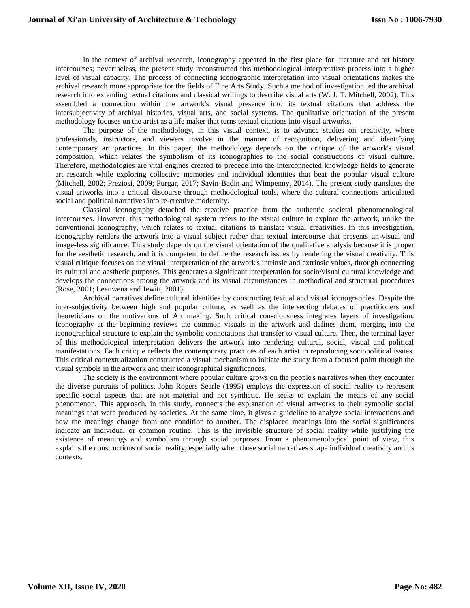In the context of archival research, iconography appeared in the first place for literature and art history intercourses; nevertheless, the present study reconstructed this methodological interpretative process into a higher level of visual capacity. The process of connecting iconographic interpretation into visual orientations makes the archival research more appropriate for the fields of Fine Arts Study. Such a method of investigation led the archival research into extending textual citations and classical writings to describe visual arts (W. J. T. Mitchell, 2002). This assembled a connection within the artwork's visual presence into its textual citations that address the intersubjectivity of archival histories, visual arts, and social systems. The qualitative orientation of the present methodology focuses on the artist as a life maker that turns textual citations into visual artworks.

The purpose of the methodology, in this visual context, is to advance studies on creativity, where professionals, instructors, and viewers involve in the manner of recognition, delivering and identifying contemporary art practices. In this paper, the methodology depends on the critique of the artwork's visual composition, which relates the symbolism of its iconographies to the social constructions of visual culture. Therefore, methodologies are vital engines created to precede into the interconnected knowledge fields to generate art research while exploring collective memories and individual identities that beat the popular visual culture (Mitchell, 2002; Preziosi, 2009; Purgar, 2017; Savin-Badin and Wimpenny, 2014). The present study translates the visual artworks into a critical discourse through methodological tools, where the cultural connections articulated social and political narratives into re-creative modernity.

Classical iconography detached the creative practice from the authentic societal phenomenological intercourses. However, this methodological system refers to the visual culture to explore the artwork, unlike the conventional iconography, which relates to textual citations to translate visual creativities. In this investigation, iconography renders the artwork into a visual subject rather than textual intercourse that presents un-visual and image-less significance. This study depends on the visual orientation of the qualitative analysis because it is proper for the aesthetic research, and it is competent to define the research issues by rendering the visual creativity. This visual critique focuses on the visual interpretation of the artwork's intrinsic and extrinsic values, through connecting its cultural and aesthetic purposes. This generates a significant interpretation for socio/visual cultural knowledge and develops the connections among the artwork and its visual circumstances in methodical and structural procedures (Rose, 2001; Leeuwena and Jewitt, 2001).

 Archival narratives define cultural identities by constructing textual and visual iconographies. Despite the inter-subjectivity between high and popular culture, as well as the intersecting debates of practitioners and theoreticians on the motivations of Art making. Such critical consciousness integrates layers of investigation. Iconography at the beginning reviews the common visuals in the artwork and defines them, merging into the iconographical structure to explain the symbolic connotations that transfer to visual culture. Then, the terminal layer of this methodological interpretation delivers the artwork into rendering cultural, social, visual and political manifestations. Each critique reflects the contemporary practices of each artist in reproducing sociopolitical issues. This critical contextualization constructed a visual mechanism to initiate the study from a focused point through the visual symbols in the artwork and their iconographical significances.

The society is the environment where popular culture grows on the people's narratives when they encounter the diverse portraits of politics. John Rogers Searle (1995) employs the expression of social reality to represent specific social aspects that are not material and not synthetic. He seeks to explain the means of any social phenomenon. This approach, in this study, connects the explanation of visual artworks to their symbolic social meanings that were produced by societies. At the same time, it gives a guideline to analyze social interactions and how the meanings change from one condition to another. The displaced meanings into the social significances indicate an individual or common routine. This is the invisible structure of social reality while justifying the existence of meanings and symbolism through social purposes. From a phenomenological point of view, this explains the constructions of social reality, especially when those social narratives shape individual creativity and its contexts.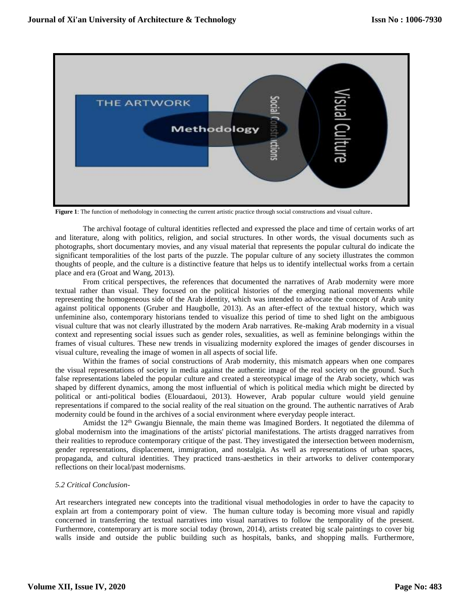

**Figure 1**: The function of methodology in connecting the current artistic practice through social constructions and visual culture.

The archival footage of cultural identities reflected and expressed the place and time of certain works of art and literature, along with politics, religion, and social structures. In other words, the visual documents such as photographs, short documentary movies, and any visual material that represents the popular cultural do indicate the significant temporalities of the lost parts of the puzzle. The popular culture of any society illustrates the common thoughts of people, and the culture is a distinctive feature that helps us to identify intellectual works from a certain place and era (Groat and Wang, 2013).

From critical perspectives, the references that documented the narratives of Arab modernity were more textual rather than visual. They focused on the political histories of the emerging national movements while representing the homogeneous side of the Arab identity, which was intended to advocate the concept of Arab unity against political opponents (Gruber and Haugbolle, 2013). As an after-effect of the textual history, which was unfeminine also, contemporary historians tended to visualize this period of time to shed light on the ambiguous visual culture that was not clearly illustrated by the modern Arab narratives. Re-making Arab modernity in a visual context and representing social issues such as gender roles, sexualities, as well as feminine belongings within the frames of visual cultures. These new trends in visualizing modernity explored the images of gender discourses in visual culture, revealing the image of women in all aspects of social life.

Within the frames of social constructions of Arab modernity, this mismatch appears when one compares the visual representations of society in media against the authentic image of the real society on the ground. Such false representations labeled the popular culture and created a stereotypical image of the Arab society, which was shaped by different dynamics, among the most influential of which is political media which might be directed by political or anti-political bodies (Elouardaoui, 2013). However, Arab popular culture would yield genuine representations if compared to the social reality of the real situation on the ground. The authentic narratives of Arab modernity could be found in the archives of a social environment where everyday people interact.

Amidst the  $12<sup>th</sup>$  Gwangju Biennale, the main theme was Imagined Borders. It negotiated the dilemma of global modernism into the imaginations of the artists' pictorial manifestations. The artists dragged narratives from their realities to reproduce contemporary critique of the past. They investigated the intersection between modernism, gender representations, displacement, immigration, and nostalgia. As well as representations of urban spaces, propaganda, and cultural identities. They practiced trans-aesthetics in their artworks to deliver contemporary reflections on their local/past modernisms.

#### *5.2 Critical Conclusion-*

Art researchers integrated new concepts into the traditional visual methodologies in order to have the capacity to explain art from a contemporary point of view. The human culture today is becoming more visual and rapidly concerned in transferring the textual narratives into visual narratives to follow the temporality of the present. Furthermore, contemporary art is more social today (brown, 2014), artists created big scale paintings to cover big walls inside and outside the public building such as hospitals, banks, and shopping malls. Furthermore,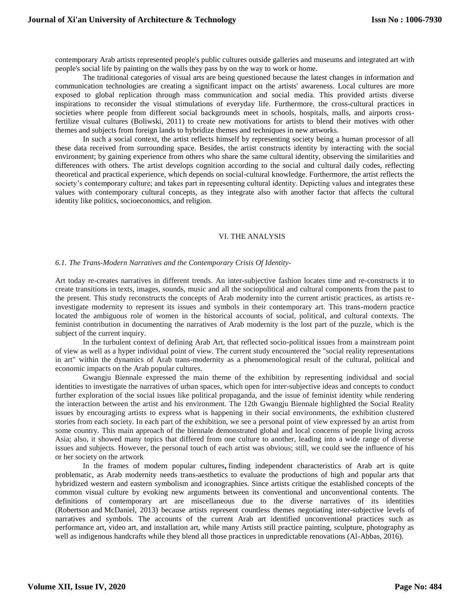contemporary Arab artists represented people's public cultures outside galleries and museums and integrated art with people's social life by painting on the walls they pass by on the way to work or home.

The traditional categories of visual arts are being questioned because the latest changes in information and communication technologies are creating a significant impact on the artists' awareness. Local cultures are more exposed to global replication through mass communication and social media. This provided artists diverse inspirations to reconsider the visual stimulations of everyday life. Furthermore, the cross-cultural practices in societies where people from different social backgrounds meet in schools, hospitals, malls, and airports crossfertilize visual cultures (Boliwski, 2011) to create new motivations for artists to blend their motives with other themes and subjects from foreign lands to hybridize themes and techniques in new artworks.

In such a social context, the artist reflects himself by representing society being a human processor of all these data received from surrounding space. Besides, the artist constructs identity by interacting with the social environment; by gaining experience from others who share the same cultural identity, observing the similarities and differences with others. The artist develops cognition according to the social and cultural daily codes, reflecting theoretical and practical experience, which depends on social-cultural knowledge. Furthermore, the artist reflects the society's contemporary culture; and takes part in representing cultural identity. Depicting values and integrates these values with contemporary cultural concepts, as they integrate also with another factor that affects the cultural identity like politics, socioeconomics, and religion.

#### VI. THE ANALYSIS

#### *6.1. The Trans-Modern Narratives and the Contemporary Crisis Of Identity-*

Art today re-creates narratives in different trends. An inter-subjective fashion locates time and re-constructs it to create transitions in texts, images, sounds, music and all the sociopolitical and cultural components from the past to the present. This study reconstructs the concepts of Arab modernity into the current artistic practices, as artists reinvestigate modernity to represent its issues and symbols in their contemporary art. This trans-modern practice located the ambiguous role of women in the historical accounts of social, political, and cultural contexts. The feminist contribution in documenting the narratives of Arab modernity is the lost part of the puzzle, which is the subject of the current inquiry.

In the turbulent context of defining Arab Art, that reflected socio-political issues from a mainstream point of view as well as a hyper individual point of view. The current study encountered the "social reality representations in art" within the dynamics of Arab trans-modernity as a phenomenological result of the cultural, political and economic impacts on the Arab popular cultures.

Gwangju Biennale expressed the main theme of the exhibition by representing individual and social identities to investigate the narratives of urban spaces, which open for inter-subjective ideas and concepts to conduct further exploration of the social issues like political propaganda, and the issue of feminist identity while rendering the interaction between the artist and his environment. The 12th Gwangju Biennale highlighted the Social Reality issues by encouraging artists to express what is happening in their social environments, the exhibition clustered stories from each society. In each part of the exhibition, we see a personal point of view expressed by an artist from some country. This main approach of the biennale demonstrated global and local concerns of people living across Asia; also, it showed many topics that differed from one culture to another, leading into a wide range of diverse issues and subjects. However, the personal touch of each artist was obvious; still, we could see the influence of his or her society on the artwork

In the frames of modern popular cultures**,** finding independent characteristics of Arab art is quite problematic, as Arab modernity needs trans-aesthetics to evaluate the productions of high and popular arts that hybridized western and eastern symbolism and iconographies. Since artists critique the established concepts of the common visual culture by evoking new arguments between its conventional and unconventional contents. The definitions of contemporary art are miscellaneous due to the diverse narratives of its identities [\(Robertson](https://www.google.jo/search?tbo=p&tbm=bks&q=inauthor:%22Jean+Robertson%22&source=gbs_metadata_r&cad=4) and [McDaniel,](https://www.google.jo/search?tbo=p&tbm=bks&q=inauthor:%22Craig+McDaniel%22&source=gbs_metadata_r&cad=4) 2013) because artists represent countless themes negotiating inter-subjective levels of narratives and symbols. The accounts of the current Arab art identified unconventional practices such as performance art, video art, and installation art, while many Artists still practice painting, sculpture, photography as well as indigenous handcrafts while they blend all those practices in unpredictable renovations (Al-Abbas, 2016).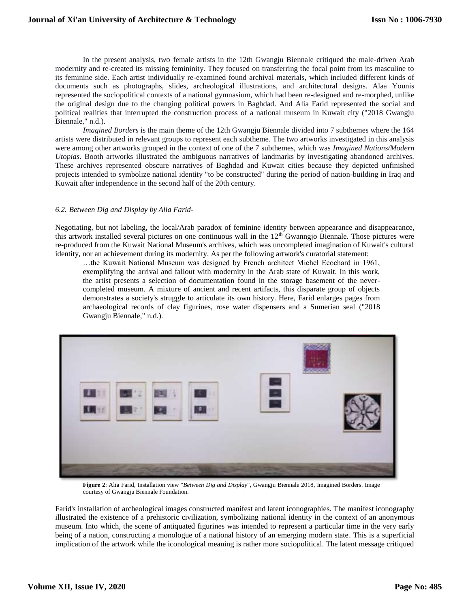In the present analysis, two female artists in the 12th Gwangju Biennale critiqued the male-driven Arab modernity and re-created its missing femininity. They focused on transferring the focal point from its masculine to its feminine side. Each artist individually re-examined found archival materials, which included different kinds of documents such as photographs, slides, archeological illustrations, and architectural designs. Alaa Younis represented the sociopolitical contexts of a national gymnasium, which had been re-designed and re-morphed, unlike the original design due to the changing political powers in Baghdad. And Alia Farid represented the social and political realities that interrupted the construction process of a national museum in Kuwait city ("2018 Gwangju Biennale," n.d.).

*Imagined Borders* is the main theme of the 12th Gwangju Biennale divided into 7 subthemes where the 164 artists were distributed in relevant groups to represent each subtheme. The two artworks investigated in this analysis were among other artworks grouped in the context of one of the 7 subthemes, which was *Imagined Nations/Modern Utopias*. Booth artworks illustrated the ambiguous narratives of landmarks by investigating abandoned archives. These archives represented obscure narratives of Baghdad and Kuwait cities because they depicted unfinished projects intended to symbolize national identity "to be constructed" during the period of nation-building in Iraq and Kuwait after independence in the second half of the 20th century.

#### *6.2. Between Dig and Display by Alia Farid-*

Negotiating, but not labeling, the local/Arab paradox of feminine identity between appearance and disappearance, this artwork installed several pictures on one continuous wall in the  $12<sup>th</sup>$  Gwanngjo Biennale. Those pictures were re-produced from the Kuwait National Museum's archives, which was uncompleted imagination of Kuwait's cultural identity, nor an achievement during its modernity. As per the following artwork's curatorial statement:

…the Kuwait National Museum was designed by French architect Michel Ecochard in 1961, exemplifying the arrival and fallout with modernity in the Arab state of Kuwait. In this work, the artist presents a selection of documentation found in the storage basement of the nevercompleted museum. A mixture of ancient and recent artifacts, this disparate group of objects demonstrates a society's struggle to articulate its own history. Here, Farid enlarges pages from archaeological records of clay figurines, rose water dispensers and a Sumerian seal ("2018 Gwangju Biennale," n.d.).



**Figure 2**: Alia Farid, Installation view "*Between Dig and Display*", Gwangju Biennale 2018, Imagined Borders. Image courtesy of Gwangju Biennale Foundation.

Farid's installation of archeological images constructed manifest and latent iconographies. The manifest iconography illustrated the existence of a prehistoric civilization, symbolizing national identity in the context of an anonymous museum. Into which, the scene of antiquated figurines was intended to represent a particular time in the very early being of a nation, constructing a monologue of a national history of an emerging modern state. This is a superficial implication of the artwork while the iconological meaning is rather more sociopolitical. The latent message critiqued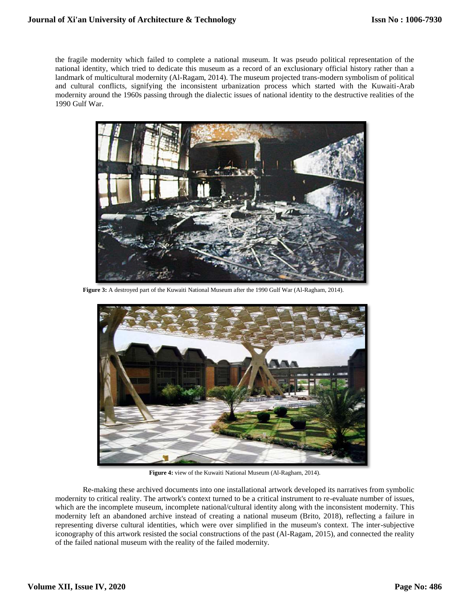the fragile modernity which failed to complete a national museum. It was pseudo political representation of the national identity, which tried to dedicate this museum as a record of an exclusionary official history rather than a landmark of multicultural modernity (Al-Ragam, 2014). The museum projected trans-modern symbolism of political and cultural conflicts, signifying the inconsistent urbanization process which started with the Kuwaiti-Arab modernity around the 1960s passing through the dialectic issues of national identity to the destructive realities of the 1990 Gulf War.



**Figure 3:** A destroyed part of the Kuwaiti National Museum after the 1990 Gulf War (Al-Ragham, 2014).



**Figure 4:** view of the Kuwaiti National Museum (Al-Ragham, 2014).

Re-making these archived documents into one installational artwork developed its narratives from symbolic modernity to critical reality. The artwork's context turned to be a critical instrument to re-evaluate number of issues, which are the incomplete museum, incomplete national/cultural identity along with the inconsistent modernity. This modernity left an abandoned archive instead of creating a national museum (Brito, 2018), reflecting a failure in representing diverse cultural identities, which were over simplified in the museum's context. The inter-subjective iconography of this artwork resisted the social constructions of the past (Al-Ragam, 2015), and connected the reality of the failed national museum with the reality of the failed modernity.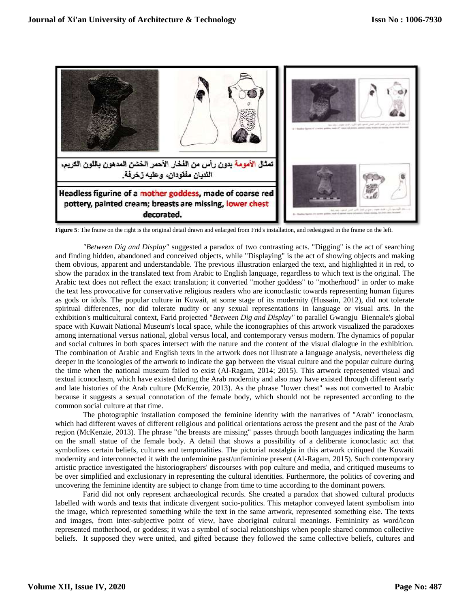

**Figure 5**: The frame on the right is the original detail drawn and enlarged from Frid's installation, and redesigned in the frame on the left.

*"Between Dig and Display"* suggested a paradox of two contrasting acts. "Digging" is the act of searching and finding hidden, abandoned and conceived objects, while "Displaying" is the act of showing objects and making them obvious, apparent and understandable. The previous illustration enlarged the text, and highlighted it in red, to show the paradox in the translated text from Arabic to English language, regardless to which text is the original. The Arabic text does not reflect the exact translation; it converted "mother goddess" to "motherhood" in order to make the text less provocative for conservative religious readers who are iconoclastic towards representing human figures as gods or idols. The popular culture in Kuwait, at some stage of its modernity (Hussain, 2012), did not tolerate spiritual differences, nor did tolerate nudity or any sexual representations in language or visual arts. In the exhibition's multicultural context, Farid projected "*Between Dig and Display"* to parallel Gwangju Biennale's global space with Kuwait National Museum's local space, while the iconographies of this artwork visualized the paradoxes among international versus national, global versus local, and contemporary versus modern. The dynamics of popular and social cultures in both spaces intersect with the nature and the content of the visual dialogue in the exhibition. The combination of Arabic and English texts in the artwork does not illustrate a language analysis, nevertheless dig deeper in the iconologies of the artwork to indicate the gap between the visual culture and the popular culture during the time when the national museum failed to exist (Al-Ragam, 2014; 2015). This artwork represented visual and textual iconoclasm, which have existed during the Arab modernity and also may have existed through different early and late histories of the Arab culture (McKenzie, 2013). As the phrase "lower chest" was not converted to Arabic because it suggests a sexual connotation of the female body, which should not be represented according to the common social culture at that time.

The photographic installation composed the feminine identity with the narratives of "Arab" iconoclasm, which had different waves of different religious and political orientations across the present and the past of the Arab region (McKenzie, 2013). The phrase "the breasts are missing" passes through booth languages indicating the harm on the small statue of the female body. A detail that shows a possibility of a deliberate iconoclastic act that symbolizes certain beliefs, cultures and temporalities. The pictorial nostalgia in this artwork critiqued the Kuwaiti modernity and interconnected it with the unfeminine past/unfeminine present (Al-Ragam, 2015). Such contemporary artistic practice investigated the historiographers' discourses with pop culture and media, and critiqued museums to be over simplified and exclusionary in representing the cultural identities. Furthermore, the politics of covering and uncovering the feminine identity are subject to change from time to time according to the dominant powers.

Farid did not only represent archaeological records. She created a paradox that showed cultural products labelled with words and texts that indicate divergent socio-politics. This metaphor conveyed latent symbolism into the image, which represented something while the text in the same artwork, represented something else. The texts and images, from inter-subjective point of view, have aboriginal cultural meanings. Femininity as word/icon represented motherhood, or goddess; it was a symbol of social relationships when people shared common collective beliefs. It supposed they were united, and gifted because they followed the same collective beliefs, cultures and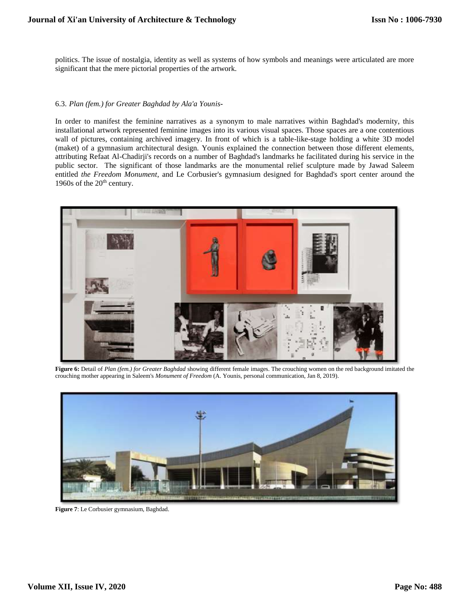politics. The issue of nostalgia, identity as well as systems of how symbols and meanings were articulated are more significant that the mere pictorial properties of the artwork.

#### 6.3. *Plan (fem.) for Greater Baghdad by Ala'a Younis***-**

In order to manifest the feminine narratives as a synonym to male narratives within Baghdad's modernity, this installational artwork represented feminine images into its various visual spaces. Those spaces are a one contentious wall of pictures, containing archived imagery. In front of which is a table-like-stage holding a white 3D model (maket) of a gymnasium architectural design. Younis explained the connection between those different elements, attributing Refaat Al-Chadirji's records on a number of Baghdad's landmarks he facilitated during his service in the public sector. The significant of those landmarks are the monumental relief sculpture made by Jawad Saleem entitled *the Freedom Monument*, and Le Corbusier's gymnasium designed for Baghdad's sport center around the 1960s of the  $20<sup>th</sup>$  century.



**Figure 6:** Detail of *Plan (fem.) for Greater Baghdad* showing different female images. The crouching women on the red background imitated the crouching mother appearing in Saleem's *Monument of Freedom* (A. Younis, personal communication, Jan 8, 2019).



**Figure 7**: Le Corbusier gymnasium, Baghdad.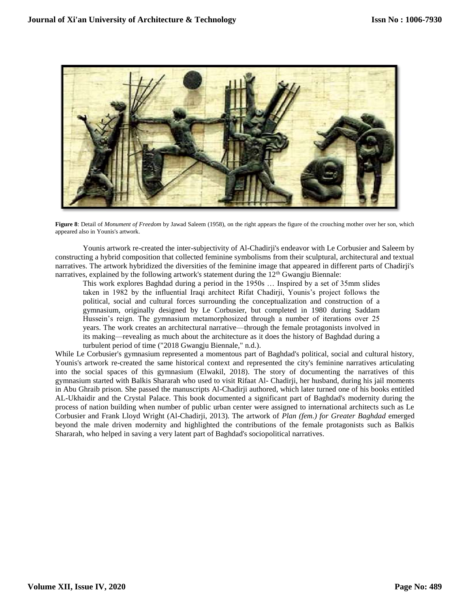

**Figure 8**: Detail of *Monument of Freedom* by Jawad Saleem (1958), on the right appears the figure of the crouching mother over her son, which appeared also in Younis's artwork.

Younis artwork re-created the inter-subjectivity of Al-Chadirji's endeavor with Le Corbusier and Saleem by constructing a hybrid composition that collected feminine symbolisms from their sculptural, architectural and textual narratives. The artwork hybridized the diversities of the feminine image that appeared in different parts of Chadirji's narratives, explained by the following artwork's statement during the 12<sup>th</sup> Gwangju Biennale:

This work explores Baghdad during a period in the 1950s … Inspired by a set of 35mm slides taken in 1982 by the influential Iraqi architect Rifat Chadirji, Younis's project follows the political, social and cultural forces surrounding the conceptualization and construction of a gymnasium, originally designed by Le Corbusier, but completed in 1980 during Saddam Hussein's reign. The gymnasium metamorphosized through a number of iterations over 25 years. The work creates an architectural narrative—through the female protagonists involved in its making—revealing as much about the architecture as it does the history of Baghdad during a turbulent period of time ("2018 Gwangju Biennale," n.d.).

While Le Corbusier's gymnasium represented a momentous part of Baghdad's political, social and cultural history, Younis's artwork re-created the same historical context and represented the city's feminine narratives articulating into the social spaces of this gymnasium (Elwakil, 2018). The story of documenting the narratives of this gymnasium started with Balkis Shararah who used to visit Rifaat Al- Chadirji, her husband, during his jail moments in Abu Ghraib prison. She passed the manuscripts Al-Chadirji authored, which later turned one of his books entitled AL-Ukhaidir and the Crystal Palace. This book documented a significant part of Baghdad's modernity during the process of nation building when number of public urban center were assigned to international architects such as Le Corbusier and Frank Lloyd Wright (Al-Chadirji, 2013). The artwork of *Plan (fem.) for Greater Baghdad* emerged beyond the male driven modernity and highlighted the contributions of the female protagonists such as Balkis Shararah, who helped in saving a very latent part of Baghdad's sociopolitical narratives.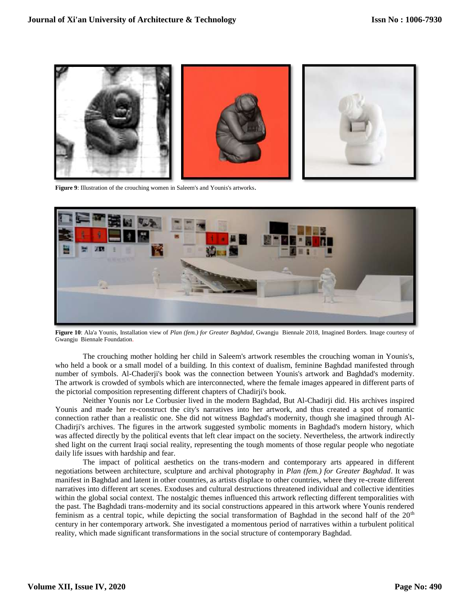

**Figure 9**: Illustration of the crouching women in Saleem's and Younis's artworks.



**Figure 10**: Ala'a Younis, Installation view of *Plan (fem.) for Greater Baghdad*, Gwangju Biennale 2018, Imagined Borders. Image courtesy of Gwangju Biennale Foundation.

The crouching mother holding her child in Saleem's artwork resembles the crouching woman in Younis's, who held a book or a small model of a building. In this context of dualism, feminine Baghdad manifested through number of symbols. Al-Chaderji's book was the connection between Younis's artwork and Baghdad's modernity. The artwork is crowded of symbols which are interconnected, where the female images appeared in different parts of the pictorial composition representing different chapters of Chadirji's book.

Neither Younis nor Le Corbusier lived in the modern Baghdad, But Al-Chadirji did. His archives inspired Younis and made her re-construct the city's narratives into her artwork, and thus created a spot of romantic connection rather than a realistic one. She did not witness Baghdad's modernity, though she imagined through Al-Chadirji's archives. The figures in the artwork suggested symbolic moments in Baghdad's modern history, which was affected directly by the political events that left clear impact on the society. Nevertheless, the artwork indirectly shed light on the current Iraqi social reality, representing the tough moments of those regular people who negotiate daily life issues with hardship and fear.

The impact of political aesthetics on the trans-modern and contemporary arts appeared in different negotiations between architecture, sculpture and archival photography in *Plan (fem.) for Greater Baghdad*. It was manifest in Baghdad and latent in other countries, as artists displace to other countries, where they re-create different narratives into different art scenes. Exoduses and cultural destructions threatened individual and collective identities within the global social context. The nostalgic themes influenced this artwork reflecting different temporalities with the past. The Baghdadi trans-modernity and its social constructions appeared in this artwork where Younis rendered feminism as a central topic, while depicting the social transformation of Baghdad in the second half of the 20<sup>th</sup> century in her contemporary artwork. She investigated a momentous period of narratives within a turbulent political reality, which made significant transformations in the social structure of contemporary Baghdad.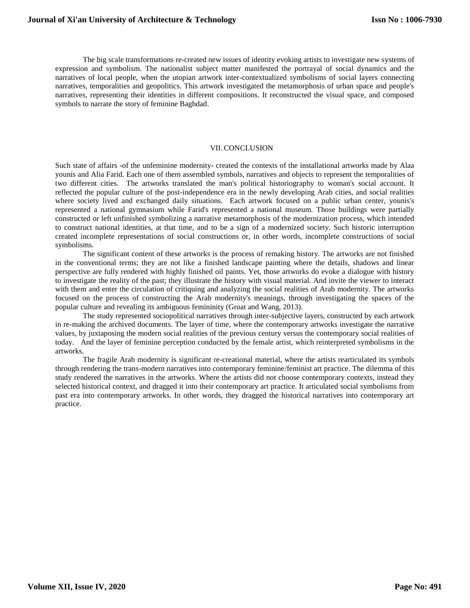The big scale transformations re-created new issues of identity evoking artists to investigate new systems of expression and symbolism. The nationalist subject matter manifested the portrayal of social dynamics and the narratives of local people, when the utopian artwork inter-contextualized symbolisms of social layers connecting narratives, temporalities and geopolitics. This artwork investigated the metamorphosis of urban space and people's narratives, representing their identities in different compositions. It reconstructed the visual space, and composed symbols to narrate the story of feminine Baghdad.

### VII.CONCLUSION

Such state of affairs -of the unfeminine modernity- created the contexts of the installational artworks made by Alaa younis and Alia Farid. Each one of them assembled symbols, narratives and objects to represent the temporalities of two different cities. The artworks translated the man's political historiography to woman's social account. It reflected the popular culture of the post-independence era in the newly developing Arab cities, and social realities where society lived and exchanged daily situations. Each artwork focused on a public urban center, younis's represented a national gymnasium while Farid's represented a national museum. Those buildings were partially constructed or left unfinished symbolizing a narrative metamorphosis of the modernization process, which intended to construct national identities, at that time, and to be a sign of a modernized society. Such historic interruption created incomplete representations of social constructions or, in other words, incomplete constructions of social symbolisms.

The significant content of these artworks is the process of remaking history. The artworks are not finished in the conventional terms; they are not like a finished landscape painting where the details, shadows and linear perspective are fully rendered with highly finished oil paints. Yet, those artworks do evoke a dialogue with history to investigate the reality of the past; they illustrate the history with visual material. And invite the viewer to interact with them and enter the circulation of critiquing and analyzing the social realities of Arab modernity. The artworks focused on the process of constructing the Arab modernity's meanings, through investigating the spaces of the popular culture and revealing its ambiguous femininity (Groat and Wang, 2013).

The study represented sociopolitical narratives through inter-subjective layers, constructed by each artwork in re-making the archived documents. The layer of time, where the contemporary artworks investigate the narrative values, by juxtaposing the modern social realities of the previous century versus the contemporary social realities of today. And the layer of feminine perception conducted by the female artist, which reinterpreted symbolisms in the artworks.

 The fragile Arab modernity is significant re-creational material, where the artists rearticulated its symbols through rendering the trans-modern narratives into contemporary feminine/feminist art practice. The dilemma of this study rendered the narratives in the artworks. Where the artists did not choose contemporary contexts, instead they selected historical context, and dragged it into their contemporary art practice. It articulated social symbolisms from past era into contemporary artworks. In other words, they dragged the historical narratives into contemporary art practice.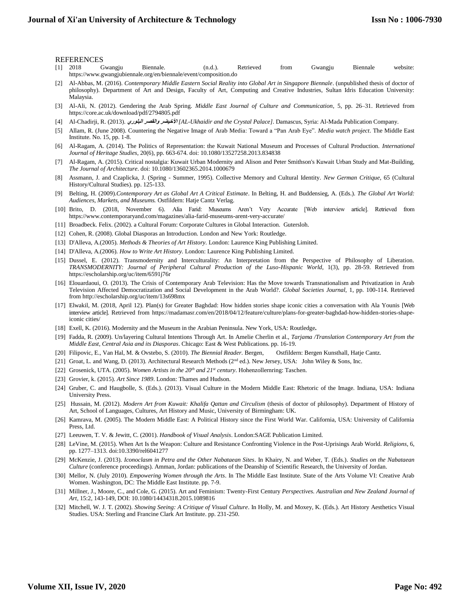#### REFERENCES

- [1] 2018 Gwangju Biennale. (n.d.). Retrieved from Gwangju Biennale website: <https://www.gwangjubiennale.org/en/biennale/event/composition.do>
- [2] Al-Abbas, M. (2016). *Contemporary Middle Eastern Social Reality into Global Art in Singapore Biennale*. (unpublished thesis of doctor of philosophy). Department of Art and Design, Faculty of Art, Computing and Creative Industries, Sultan Idris Education University: Malaysia.
- [3] Al-Ali, N. (2012). Gendering the Arab Spring. *Middle East Journal of Culture and Communication*, 5, pp. 26–31. Retrieved from <https://core.ac.uk/download/pdf/2794805.pdf>
- [4] Al-Chadirji, R. (2013). **البلوري والقصر األخيضر***] AL-Ukhaidir and the Crystal Palace]*. Damascus, Syria: Al-Mada Publication Company.
- [5] Allam, R. (June 2008). Countering the Negative Image of Arab Media: Toward a "Pan Arab Eye". *Media watch project*. The Middle East Institute. No. 15, pp. 1-8.
- [6] Al-Ragam, A. (2014). The Politics of Representation: the Kuwait National Museum and Processes of Cultural Production. *International Journal of Heritage Studies*, 20(6), pp. 663-674. doi: 10.1080/13527258.2013.834838
- [7] Al-Ragam, A. (2015). Critical nostalgia: Kuwait Urban Modernity and Alison and Peter Smithson's Kuwait Urban Study and Mat-Building, *The Journal of Architecture*. doi: 10.1080/13602365.2014.1000679
- [8] Assmann, J. and Czaplicka, J. (Spring Summer, 1995). Collective Memory and Cultural Identity. *New German Critique*, 65 (Cultural History/Cultural Studies). pp. 125-133.
- [9] Belting, H. (2009).*Contemporary Art as Global Art A Critical Estimate*. In Belting, H. and Buddensieg, A. (Eds.). *The Global Art World: Audiences, Markets, and Museums.* Ostfildern: Hatje Cantz Verlag.
- [10] Brito, D. (2018, November 6). Alia Farid: Museums Aren't Very Accurate [Web interview article]. Retrieved from <https://www.contemporaryand.com/magazines/alia-farid-museums-arent-very-accurate/>
- [11] Broadbeck. Felix. (2002). a Cultural Forum: Corporate Cultures in Global Interaction. Gutersloh.
- [12] Cohen, R. (2008). Global Diasporas an Introduction. London and New York: Routledge.
- [13] D'Alleva, A.(2005). *Methods & Theories of Art History.* London: Laurence King Publishing Limited.
- [14] D'Alleva, A.(2006). *How to Write Art History.* London: Laurence King Publishing Limited.
- [15] Dussel, E. (2012). Transmodernity and Interculturality: An Interpretation from the Perspective of Philosophy of Liberation. *TRANSMODERNITY: Journal of Peripheral Cultural Production of the Luso-Hispanic World*, 1(3), pp. 28-59. Retrieved from <https://escholarship.org/uc/item/6591j76r>
- [16] Elouardaoui, O. (2013). The Crisis of Contemporary Arab Television: Has the Move towards Transnationalism and Privatization in Arab Television Affected Democratization and Social Development in the Arab World?. *Global Societies Journal,* 1, pp. 100-114. Retrieved fro[m http://escholarship.org/uc/item/13s698mx](http://escholarship.org/uc/item/13s698mx)
- [17] Elwakil, M. (2018, April 12). Plan(s) for Greater Baghdad: How hidden stories shape iconic cities a conversation with Ala Younis [Web interview article]. Retrieved from [https://madamasr.com/en/2018/04/12/feature/culture/plans-for-greater-baghdad-how-hidden-stories-shape](https://madamasr.com/en/2018/04/12/feature/culture/plans-for-greater-baghdad-how-hidden-stories-shape-iconic%20cities/)[iconic cities/](https://madamasr.com/en/2018/04/12/feature/culture/plans-for-greater-baghdad-how-hidden-stories-shape-iconic%20cities/)
- [18] Exell, K. (2016). Modernity and the Museum in the Arabian Peninsula. New York, USA: Routledge**.**
- [19] Fadda, R. (2009). Un/layering Cultural Intentions Through Art. In Amelie Cherlin et al., *Tarjama /Translation Contemporary Art from the Middle East, Central Asia and its Diasporas*. Chicago: East & West Publications. pp. 16-19.
- [20] Filipovic, E., Van Hal, M. & Ovstebo, S. (2010). *The Biennial Reader.* Bergen, Ostfildern: Bergen Kunsthall, Hatje Cantz.
- [21] Groat, L. and Wang, D. (2013). Architectural Research Methods (2nd ed.). New Jersey, USA: John Wiley & Sons, Inc.
- [22] Grosenick, UTA. (2005). *Women Artists in the 20th and 21st century*. Hohenzollernring: Taschen.
- [23] Grovier, k. (2015). *Art Since 1989*. London: Thames and Hudson.
- [24] Gruber, C. and Haugbolle, S. (Eds.). (2013). Visual Culture in the Modern Middle East: Rhetoric of the Image. Indiana, USA: [Indiana](http://muse.jhu.edu/search?action=browse&limit=publisher_id:3)  [University Press.](http://muse.jhu.edu/search?action=browse&limit=publisher_id:3)
- [25] Hussain, M. (2012). *Modern Art from Kuwait: Khalifa Qattan and Circulism* (thesis of doctor of philosophy). Department of History of Art, School of Languages, Cultures, Art History and Music, University of Birmingham: UK.
- [26] Kamrava, M. (2005). The Modern Middle East: A Political History since the First World War. California, USA: University of California Press, Ltd.
- [27] Leeuwen, T. V. & Jewitt, C. (2001). *Handbook of Visual Analysis*. London:SAGE Publication Limited.
- [28] LeVine, M. (2015). When Art Is the Weapon: Culture and Resistance Confronting Violence in the Post-Uprisings Arab World. *Religions*, 6, pp. 1277–1313. doi:10.3390/rel6041277
- [29] McKenzie, J. (2013). *Iconoclasm in Petra and the Other Nabataean Sites*. In Khairy, N. and Weber, T. (Eds.). *Studies on the Nabataean Culture* (conference proceedings). Amman, Jordan: publications of the Deanship of Scientific Research, the University of Jordan.
- [30] Mellor, N. (July 2010). *Empowering Women through the Arts*. In The Middle East Institute. State of the Arts Volume VI: Creative Arab Women. Washington, DC: The Middle East Institute. pp. 7-9.
- [31] Millner, J., Moore, C., and Cole, G. (2015). Art and Feminism: Twenty-First Century *Perspectives. Australian and New Zealand Journal of Art*, 15:2, 143-149, DOI: 10.1080/14434318.2015.1089816
- [32] Mitchell, W. J. T. (2002). *Showing Seeing: A Critique of Visual Culture*. In Holly, M. and Moxey, K. (Eds.). Art History Aesthetics Visual Studies. USA: Sterling and Francine Clark Art Institute. pp. 231-250.